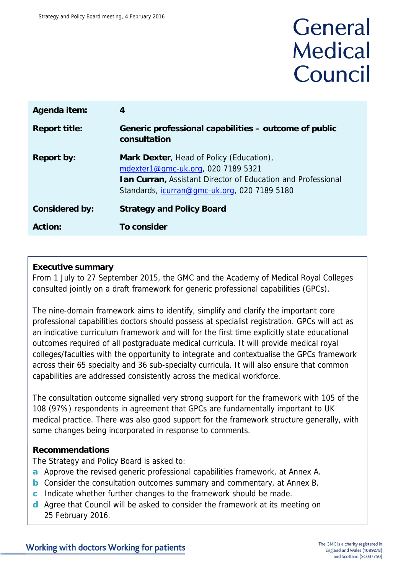# General **Medical** Council

| Agenda item:          | $\overline{4}$                                                                                                                                                                                                |
|-----------------------|---------------------------------------------------------------------------------------------------------------------------------------------------------------------------------------------------------------|
| <b>Report title:</b>  | Generic professional capabilities – outcome of public<br>consultation                                                                                                                                         |
| <b>Report by:</b>     | Mark Dexter, Head of Policy (Education),<br>mdexter1@gmc-uk.org, 020 7189 5321<br><b>Ian Curran, Assistant Director of Education and Professional</b><br>Standards, <i>icurran@gmc-uk.org</i> , 020 7189 5180 |
| <b>Considered by:</b> | <b>Strategy and Policy Board</b>                                                                                                                                                                              |
| <b>Action:</b>        | <b>To consider</b>                                                                                                                                                                                            |

# **Executive summary**

From 1 July to 27 September 2015, the GMC and the Academy of Medical Royal Colleges consulted jointly on a draft framework for generic professional capabilities (GPCs).

The nine-domain framework aims to identify, simplify and clarify the important core professional capabilities doctors should possess at specialist registration. GPCs will act as an indicative curriculum framework and will for the first time explicitly state educational outcomes required of all postgraduate medical curricula. It will provide medical royal colleges/faculties with the opportunity to integrate and contextualise the GPCs framework across their 65 specialty and 36 sub-specialty curricula. It will also ensure that common capabilities are addressed consistently across the medical workforce.

The consultation outcome signalled very strong support for the framework with 105 of the 108 (97%) respondents in agreement that GPCs are fundamentally important to UK medical practice. There was also good support for the framework structure generally, with some changes being incorporated in response to comments.

# **Recommendations**

The Strategy and Policy Board is asked to:

- **a** Approve the revised generic professional capabilities framework, at Annex A.
- **b** Consider the consultation outcomes summary and commentary, at Annex B.
- **c** Indicate whether further changes to the framework should be made.
- **d** Agree that Council will be asked to consider the framework at its meeting on 25 February 2016.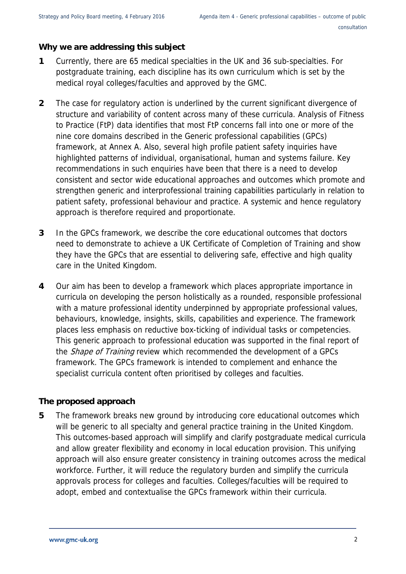### **Why we are addressing this subject**

- **1** Currently, there are 65 medical specialties in the UK and 36 sub-specialties. For postgraduate training, each discipline has its own curriculum which is set by the medical royal colleges/faculties and approved by the GMC.
- **2** The case for regulatory action is underlined by the current significant divergence of structure and variability of content across many of these curricula. Analysis of Fitness to Practice (FtP) data identifies that most FtP concerns fall into one or more of the nine core domains described in the Generic professional capabilities (GPCs) framework, at Annex A. Also, several high profile patient safety inquiries have highlighted patterns of individual, organisational, human and systems failure. Key recommendations in such enquiries have been that there is a need to develop consistent and sector wide educational approaches and outcomes which promote and strengthen generic and interprofessional training capabilities particularly in relation to patient safety, professional behaviour and practice. A systemic and hence regulatory approach is therefore required and proportionate.
- **3** In the GPCs framework, we describe the core educational outcomes that doctors need to demonstrate to achieve a UK Certificate of Completion of Training and show they have the GPCs that are essential to delivering safe, effective and high quality care in the United Kingdom.
- **4** Our aim has been to develop a framework which places appropriate importance in curricula on developing the person holistically as a rounded, responsible professional with a mature professional identity underpinned by appropriate professional values, behaviours, knowledge, insights, skills, capabilities and experience. The framework places less emphasis on reductive box-ticking of individual tasks or competencies. This generic approach to professional education was supported in the final report of the *Shape of Training* review which recommended the development of a GPCs framework. The GPCs framework is intended to complement and enhance the specialist curricula content often prioritised by colleges and faculties.

# **The proposed approach**

**5** The framework breaks new ground by introducing core educational outcomes which will be generic to all specialty and general practice training in the United Kingdom. This outcomes-based approach will simplify and clarify postgraduate medical curricula and allow greater flexibility and economy in local education provision. This unifying approach will also ensure greater consistency in training outcomes across the medical workforce. Further, it will reduce the regulatory burden and simplify the curricula approvals process for colleges and faculties. Colleges/faculties will be required to adopt, embed and contextualise the GPCs framework within their curricula.